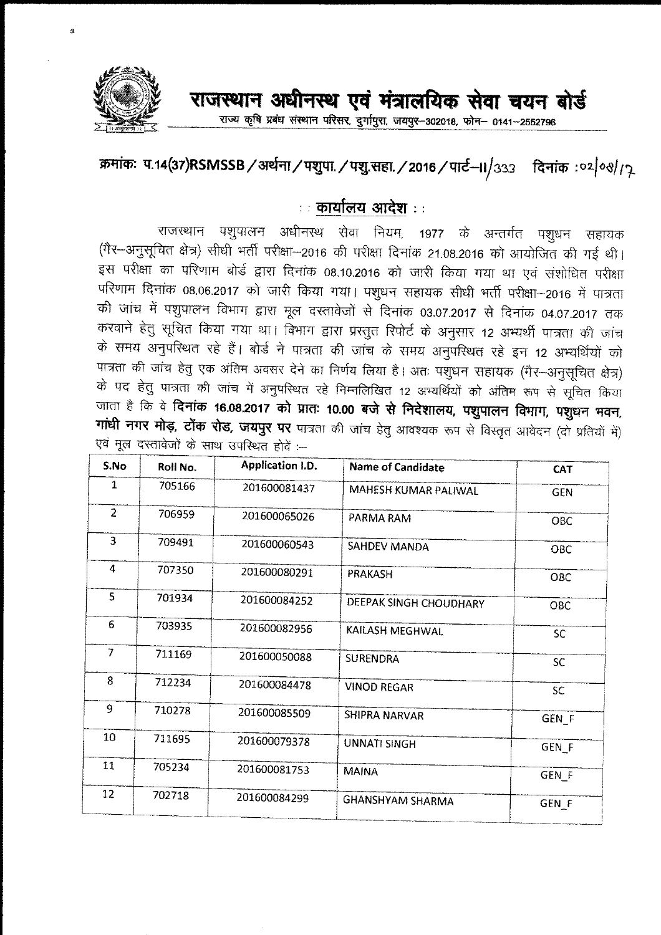

राज्य कृषि प्रबंध संस्थान परिसर, दुर्गापुरा, जयपुर-302018, फोन- 0141-2552796

## क्रमांकः प.1**4(37)RSMSSB / अर्थना / पशुपा. / पशु.सहा. / 2016 / पार्ट-II/333 नदिनांक: 02/08/17**

## **: : cPlllfttill ~ : :**

राजस्थान पशुपालन अधीनस्थ सेवा नियम, 1977 के अन्तर्गत पशुधन सहायक (गैर-अनुसूचित क्षेत्र) सीधी भर्ती परीक्षा-2016 की परीक्षा दिनांक 21.08.2016 को आयोजित की गई थी। इस परीक्षा का परिणाम बोर्ड द्वारा दिनांक 08.10.2016 को जारी किया गया था एवं संशोधित परीक्षा परिणाम दिनांक 08.06.2017 को जारी किया गया। पशुधन सहायक सीधी भर्ती परीक्षा-2016 में पात्रता की जांच में पशुपालन विभाग द्वारा मूल दस्तावेजों से दिनांक 03.07.2017 से दिनांक 04.07.2017 तक करवाने हेतु सूचित किया गया था। विभाग द्वारा प्रस्तुत रिपोर्ट के अनुसार 12 अभ्यर्थी पात्रता की जांच के समय अनुपरिथत रहे हैं। बोर्ड ने पात्रता की जांच के समय अनुपरिथत रहे इन 12 अभ्यर्थियों को पात्रता की जांच हेतु एक अंतिम अवसर देने का निर्णय लिया है। अतः पशुधन सहायक (गैर--अनुसूचित क्षेत्र) के पद हेतु पात्रता की जांच में अनुपस्थित रहे निम्नलिखित 12 अभ्यर्थियों को अंतिम रूप से सूचित किया जाता है कि वे **दिनांक 16.08.2017 को प्रातः 10.00 बजे से निदेशालय, पशुपालन विभाग, पशुधन भवन, 711थी नगर मोड़, टोंक रोड, जयपुर पर** पात्रता की जांच हेतु आवश्यक रूप से विस्तृत आवेदन (दो प्रतियों में) .<br>एवं मूल दस्तावेजों के साथ उपस्थित होवें :--

| S.No                    | Roll No. | <b>Application I.D.</b> | <b>Name of Candidate</b> | <b>CAT</b>       |
|-------------------------|----------|-------------------------|--------------------------|------------------|
| 1                       | 705166   | 201600081437            | MAHESH KUMAR PALIWAL     | <b>GEN</b>       |
| $\overline{2}$          | 706959   | 201600065026            | PARMA RAM                | OBC              |
| 3                       | 709491   | 201600060543            | SAHDEV MANDA             | OBC              |
| 4                       | 707350   | 201600080291            | PRAKASH                  | O <sub>BC</sub>  |
| $\overline{\mathbf{S}}$ | 701934   | 201600084252            | DEEPAK SINGH CHOUDHARY   | <b>OBC</b>       |
| 6                       | 703935   | 201600082956            | KAILASH MEGHWAL          | <b>SC</b>        |
| $\overline{7}$          | 711169   | 201600050088            | <b>SURENDRA</b>          | <b>SC</b>        |
| 8                       | 712234   | 201600084478            | <b>VINOD REGAR</b>       | SC.              |
| 9                       | 710278   | 201600085509            | <b>SHIPRA NARVAR</b>     | GEN <sub>F</sub> |
| 10                      | 711695   | 201600079378            | <b>UNNATI SINGH</b>      | GEN <sub>F</sub> |
| 11                      | 705234   | 201600081753            | <b>MAINA</b>             | GEN_F            |
| 12 <sub>12</sub>        | 702718   | 201600084299            | <b>GHANSHYAM SHARMA</b>  | GEN F            |